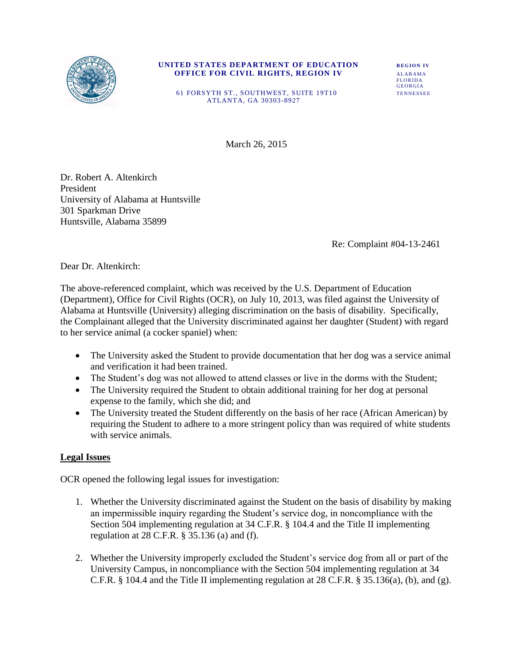

#### **UNITED STATES DEPARTMENT OF EDUCATION REGION IV OFFICE FOR CIVIL RIGHTS, REGION IV ALABAMA FLORIDA** FLORIDA

GEORGIA 61 FORSYTH ST., SOUTHWEST, SUITE 19T10 TENNESSEE ATLANTA, GA 30303 -8927

March 26, 2015

Dr. Robert A. Altenkirch President University of Alabama at Huntsville 301 Sparkman Drive Huntsville, Alabama 35899

Re: Complaint #04-13-2461

Dear Dr. Altenkirch:

The above-referenced complaint, which was received by the U.S. Department of Education (Department), Office for Civil Rights (OCR), on July 10, 2013, was filed against the University of Alabama at Huntsville (University) alleging discrimination on the basis of disability. Specifically, the Complainant alleged that the University discriminated against her daughter (Student) with regard to her service animal (a cocker spaniel) when:

- The University asked the Student to provide documentation that her dog was a service animal and verification it had been trained.
- The Student's dog was not allowed to attend classes or live in the dorms with the Student;
- The University required the Student to obtain additional training for her dog at personal expense to the family, which she did; and
- The University treated the Student differently on the basis of her race (African American) by requiring the Student to adhere to a more stringent policy than was required of white students with service animals.

## **Legal Issues**

OCR opened the following legal issues for investigation:

- 1. Whether the University discriminated against the Student on the basis of disability by making an impermissible inquiry regarding the Student's service dog, in noncompliance with the Section 504 implementing regulation at 34 C.F.R. § 104.4 and the Title II implementing regulation at 28 C.F.R. § 35.136 (a) and (f).
- 2. Whether the University improperly excluded the Student's service dog from all or part of the University Campus, in noncompliance with the Section 504 implementing regulation at 34 C.F.R. § 104.4 and the Title II implementing regulation at 28 C.F.R. § 35.136(a), (b), and (g).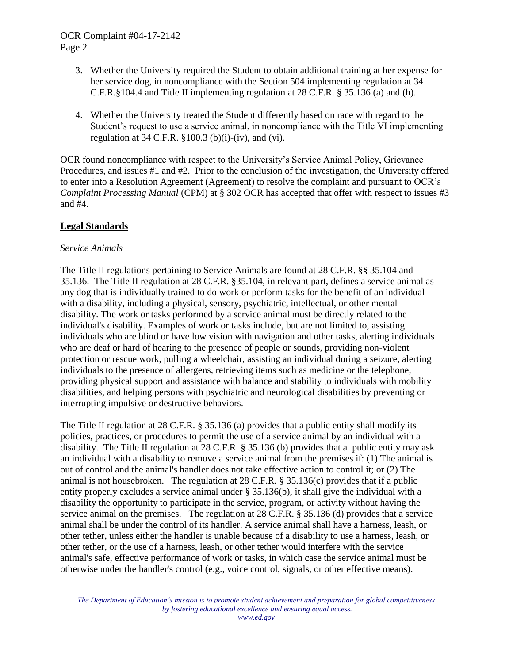# OCR Complaint #04-17-2142 Page 2

- 3. Whether the University required the Student to obtain additional training at her expense for her service dog, in noncompliance with the Section 504 implementing regulation at 34 C.F.R.§104.4 and Title II implementing regulation at 28 C.F.R. § 35.136 (a) and (h).
- 4. Whether the University treated the Student differently based on race with regard to the Student's request to use a service animal, in noncompliance with the Title VI implementing regulation at  $34$  C.F.R.  $\S 100.3$  (b)(i)-(iv), and (vi).

OCR found noncompliance with respect to the University's Service Animal Policy, Grievance Procedures, and issues #1 and #2. Prior to the conclusion of the investigation, the University offered to enter into a Resolution Agreement (Agreement) to resolve the complaint and pursuant to OCR's *Complaint Processing Manual* (CPM) at § 302 OCR has accepted that offer with respect to issues #3 and #4.

# **Legal Standards**

## *Service Animals*

The Title II regulations pertaining to Service Animals are found at 28 C.F.R. §§ 35.104 and 35.136. The Title II regulation at 28 C.F.R. §35.104, in relevant part, defines a service animal as any dog that is individually trained to do work or perform tasks for the benefit of an individual with a disability, including a physical, sensory, psychiatric, intellectual, or other mental disability. The work or tasks performed by a service animal must be directly related to the individual's disability. Examples of work or tasks include, but are not limited to, assisting individuals who are blind or have low vision with navigation and other tasks, alerting individuals who are deaf or hard of hearing to the presence of people or sounds, providing non-violent protection or rescue work, pulling a wheelchair, assisting an individual during a seizure, alerting individuals to the presence of allergens, retrieving items such as medicine or the telephone, providing physical support and assistance with balance and stability to individuals with mobility disabilities, and helping persons with psychiatric and neurological disabilities by preventing or interrupting impulsive or destructive behaviors.

The Title II regulation at 28 C.F.R. § 35.136 (a) provides that a public entity shall modify its policies, practices, or procedures to permit the use of a service animal by an individual with a disability. The Title II regulation at 28 C.F.R. § 35.136 (b) provides that a public entity may ask an individual with a disability to remove a service animal from the premises if: (1) The animal is out of control and the animal's handler does not take effective action to control it; or (2) The animal is not housebroken. The regulation at 28 C.F.R. § 35.136(c) provides that if a public entity properly excludes a service animal under § 35.136(b), it shall give the individual with a disability the opportunity to participate in the service, program, or activity without having the service animal on the premises. The regulation at 28 C.F.R. § 35.136 (d) provides that a service animal shall be under the control of its handler. A service animal shall have a harness, leash, or other tether, unless either the handler is unable because of a disability to use a harness, leash, or other tether, or the use of a harness, leash, or other tether would interfere with the service animal's safe, effective performance of work or tasks, in which case the service animal must be otherwise under the handler's control (e.g., voice control, signals, or other effective means).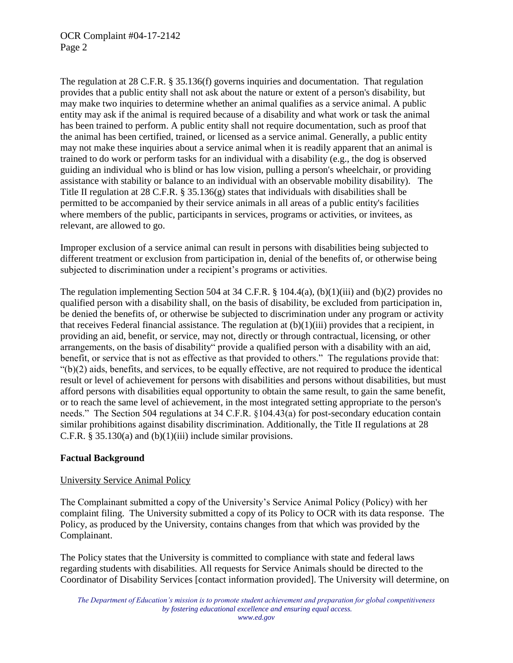The regulation at 28 C.F.R. § 35.136(f) governs inquiries and documentation. That regulation provides that a public entity shall not ask about the nature or extent of a person's disability, but may make two inquiries to determine whether an animal qualifies as a service animal. A public entity may ask if the animal is required because of a disability and what work or task the animal has been trained to perform. A public entity shall not require documentation, such as proof that the animal has been certified, trained, or licensed as a service animal. Generally, a public entity may not make these inquiries about a service animal when it is readily apparent that an animal is trained to do work or perform tasks for an individual with a disability (e.g., the dog is observed guiding an individual who is blind or has low vision, pulling a person's wheelchair, or providing assistance with stability or balance to an individual with an observable mobility disability). The Title II regulation at 28 C.F.R. § 35.136(g) states that individuals with disabilities shall be permitted to be accompanied by their service animals in all areas of a public entity's facilities where members of the public, participants in services, programs or activities, or invitees, as relevant, are allowed to go.

Improper exclusion of a service animal can result in persons with disabilities being subjected to different treatment or exclusion from participation in, denial of the benefits of, or otherwise being subjected to discrimination under a recipient's programs or activities.

The regulation implementing Section 504 at 34 C.F.R. § 104.4(a), (b)(1)(iii) and (b)(2) provides no qualified person with a disability shall, on the basis of disability, be excluded from participation in, be denied the benefits of, or otherwise be subjected to discrimination under any program or activity that receives Federal financial assistance. The regulation at  $(b)(1)(iii)$  provides that a recipient, in providing an aid, benefit, or service, may not, directly or through contractual, licensing, or other arrangements, on the basis of disability" provide a qualified person with a disability with an aid, benefit, or service that is not as effective as that provided to others." The regulations provide that:  $\mathcal{L}(b)(2)$  aids, benefits, and services, to be equally effective, are not required to produce the identical result or level of achievement for persons with disabilities and persons without disabilities, but must afford persons with disabilities equal opportunity to obtain the same result, to gain the same benefit, or to reach the same level of achievement, in the most integrated setting appropriate to the person's needs." The Section 504 regulations at 34 C.F.R. §104.43(a) for post-secondary education contain similar prohibitions against disability discrimination. Additionally, the Title II regulations at 28 C.F.R.  $\S 35.130(a)$  and (b)(1)(iii) include similar provisions.

## **Factual Background**

## University Service Animal Policy

The Complainant submitted a copy of the University's Service Animal Policy (Policy) with her complaint filing. The University submitted a copy of its Policy to OCR with its data response. The Policy, as produced by the University, contains changes from that which was provided by the Complainant.

The Policy states that the University is committed to compliance with state and federal laws regarding students with disabilities. All requests for Service Animals should be directed to the Coordinator of Disability Services [contact information provided]. The University will determine, on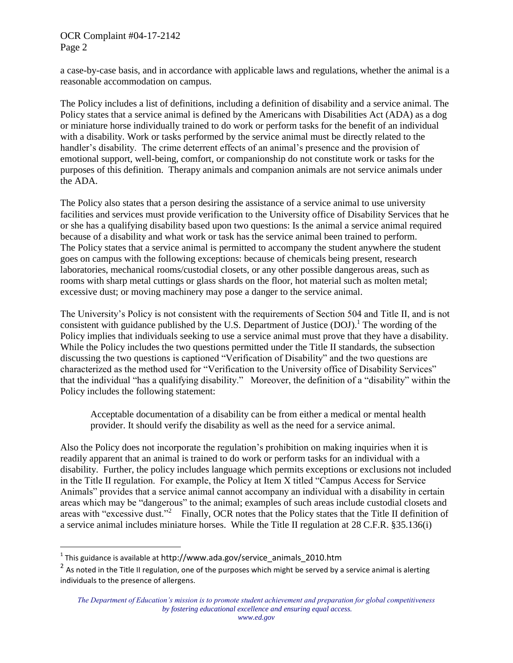### OCR Complaint #04-17-2142 Page 2

a case-by-case basis, and in accordance with applicable laws and regulations, whether the animal is a reasonable accommodation on campus.

The Policy includes a list of definitions, including a definition of disability and a service animal. The Policy states that a service animal is defined by the Americans with Disabilities Act (ADA) as a dog or miniature horse individually trained to do work or perform tasks for the benefit of an individual with a disability. Work or tasks performed by the service animal must be directly related to the handler's disability. The crime deterrent effects of an animal's presence and the provision of emotional support, well-being, comfort, or companionship do not constitute work or tasks for the purposes of this definition. Therapy animals and companion animals are not service animals under the ADA.

The Policy also states that a person desiring the assistance of a service animal to use university facilities and services must provide verification to the University office of Disability Services that he or she has a qualifying disability based upon two questions: Is the animal a service animal required because of a disability and what work or task has the service animal been trained to perform. The Policy states that a service animal is permitted to accompany the student anywhere the student goes on campus with the following exceptions: because of chemicals being present, research laboratories, mechanical rooms/custodial closets, or any other possible dangerous areas, such as rooms with sharp metal cuttings or glass shards on the floor, hot material such as molten metal; excessive dust; or moving machinery may pose a danger to the service animal.

The University's Policy is not consistent with the requirements of Section 504 and Title II, and is not consistent with guidance published by the U.S. Department of Justice  $(DOJ)$ <sup>1</sup>. The wording of the Policy implies that individuals seeking to use a service animal must prove that they have a disability. While the Policy includes the two questions permitted under the Title II standards, the subsection discussing the two questions is captioned "Verification of Disability" and the two questions are characterized as the method used for "Verification to the University office of Disability Services" that the individual "has a qualifying disability." Moreover, the definition of a "disability" within the Policy includes the following statement:

Acceptable documentation of a disability can be from either a medical or mental health provider. It should verify the disability as well as the need for a service animal.

Also the Policy does not incorporate the regulation's prohibition on making inquiries when it is readily apparent that an animal is trained to do work or perform tasks for an individual with a disability. Further, the policy includes language which permits exceptions or exclusions not included in the Title II regulation. For example, the Policy at Item X titled "Campus Access for Service Animals" provides that a service animal cannot accompany an individual with a disability in certain areas which may be "dangerous" to the animal; examples of such areas include custodial closets and areas with "excessive dust."<sup>2</sup> Finally, OCR notes that the Policy states that the Title II definition of a service animal includes miniature horses. While the Title II regulation at 28 C.F.R. §35.136(i)

 $\overline{a}$ 

 $^{\rm 1}$  This guidance is available at <code>http://www.ada.gov/service\_animals\_2010.htm</code>

<sup>&</sup>lt;sup>2</sup> As noted in the Title II regulation, one of the purposes which might be served by a service animal is alerting individuals to the presence of allergens.

*The Department of Education's mission is to promote student achievement and preparation for global competitiveness by fostering educational excellence and ensuring equal access.*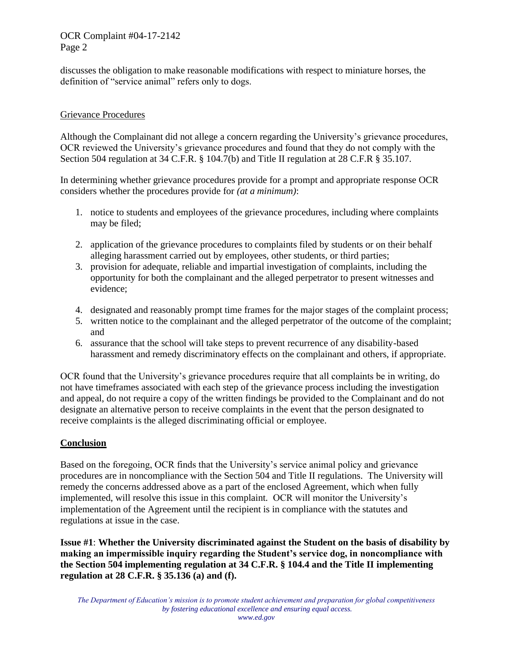## OCR Complaint #04-17-2142 Page 2

discusses the obligation to make reasonable modifications with respect to miniature horses, the definition of "service animal" refers only to dogs.

# Grievance Procedures

Although the Complainant did not allege a concern regarding the University's grievance procedures, OCR reviewed the University's grievance procedures and found that they do not comply with the Section 504 regulation at 34 C.F.R. § 104.7(b) and Title II regulation at 28 C.F.R § 35.107.

In determining whether grievance procedures provide for a prompt and appropriate response OCR considers whether the procedures provide for *(at a minimum)*:

- 1. notice to students and employees of the grievance procedures, including where complaints may be filed;
- 2. application of the grievance procedures to complaints filed by students or on their behalf alleging harassment carried out by employees, other students, or third parties;
- 3. provision for adequate, reliable and impartial investigation of complaints, including the opportunity for both the complainant and the alleged perpetrator to present witnesses and evidence;
- 4. designated and reasonably prompt time frames for the major stages of the complaint process;
- 5. written notice to the complainant and the alleged perpetrator of the outcome of the complaint; and
- 6. assurance that the school will take steps to prevent recurrence of any disability-based harassment and remedy discriminatory effects on the complainant and others, if appropriate.

OCR found that the University's grievance procedures require that all complaints be in writing, do not have timeframes associated with each step of the grievance process including the investigation and appeal, do not require a copy of the written findings be provided to the Complainant and do not designate an alternative person to receive complaints in the event that the person designated to receive complaints is the alleged discriminating official or employee.

## **Conclusion**

Based on the foregoing, OCR finds that the University's service animal policy and grievance procedures are in noncompliance with the Section 504 and Title II regulations. The University will remedy the concerns addressed above as a part of the enclosed Agreement, which when fully implemented, will resolve this issue in this complaint. OCR will monitor the University's implementation of the Agreement until the recipient is in compliance with the statutes and regulations at issue in the case.

**Issue #1**: **Whether the University discriminated against the Student on the basis of disability by making an impermissible inquiry regarding the Student's service dog, in noncompliance with the Section 504 implementing regulation at 34 C.F.R. § 104.4 and the Title II implementing regulation at 28 C.F.R. § 35.136 (a) and (f).**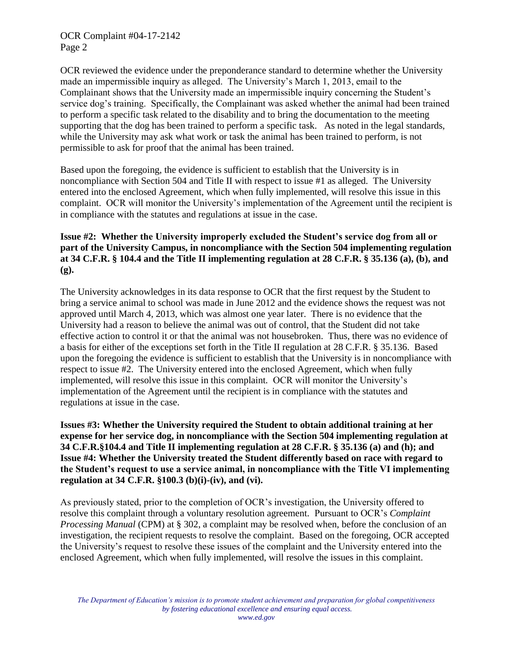OCR reviewed the evidence under the preponderance standard to determine whether the University made an impermissible inquiry as alleged. The University's March 1, 2013, email to the Complainant shows that the University made an impermissible inquiry concerning the Student's service dog's training. Specifically, the Complainant was asked whether the animal had been trained to perform a specific task related to the disability and to bring the documentation to the meeting supporting that the dog has been trained to perform a specific task. As noted in the legal standards, while the University may ask what work or task the animal has been trained to perform, is not permissible to ask for proof that the animal has been trained.

Based upon the foregoing, the evidence is sufficient to establish that the University is in noncompliance with Section 504 and Title II with respect to issue #1 as alleged. The University entered into the enclosed Agreement, which when fully implemented, will resolve this issue in this complaint. OCR will monitor the University's implementation of the Agreement until the recipient is in compliance with the statutes and regulations at issue in the case.

# **Issue #2: Whether the University improperly excluded the Student's service dog from all or part of the University Campus, in noncompliance with the Section 504 implementing regulation at 34 C.F.R. § 104.4 and the Title II implementing regulation at 28 C.F.R. § 35.136 (a), (b), and (g).**

The University acknowledges in its data response to OCR that the first request by the Student to bring a service animal to school was made in June 2012 and the evidence shows the request was not approved until March 4, 2013, which was almost one year later. There is no evidence that the University had a reason to believe the animal was out of control, that the Student did not take effective action to control it or that the animal was not housebroken. Thus, there was no evidence of a basis for either of the exceptions set forth in the Title II regulation at 28 C.F.R. § 35.136. Based upon the foregoing the evidence is sufficient to establish that the University is in noncompliance with respect to issue #2. The University entered into the enclosed Agreement, which when fully implemented, will resolve this issue in this complaint. OCR will monitor the University's implementation of the Agreement until the recipient is in compliance with the statutes and regulations at issue in the case.

**Issues #3: Whether the University required the Student to obtain additional training at her expense for her service dog, in noncompliance with the Section 504 implementing regulation at 34 C.F.R.§104.4 and Title II implementing regulation at 28 C.F.R. § 35.136 (a) and (h); and Issue #4: Whether the University treated the Student differently based on race with regard to the Student's request to use a service animal, in noncompliance with the Title VI implementing regulation at 34 C.F.R. §100.3 (b)(i)-(iv), and (vi).**

As previously stated, prior to the completion of OCR's investigation, the University offered to resolve this complaint through a voluntary resolution agreement. Pursuant to OCR's *Complaint Processing Manual* (CPM) at § 302, a complaint may be resolved when, before the conclusion of an investigation, the recipient requests to resolve the complaint. Based on the foregoing, OCR accepted the University's request to resolve these issues of the complaint and the University entered into the enclosed Agreement, which when fully implemented, will resolve the issues in this complaint.